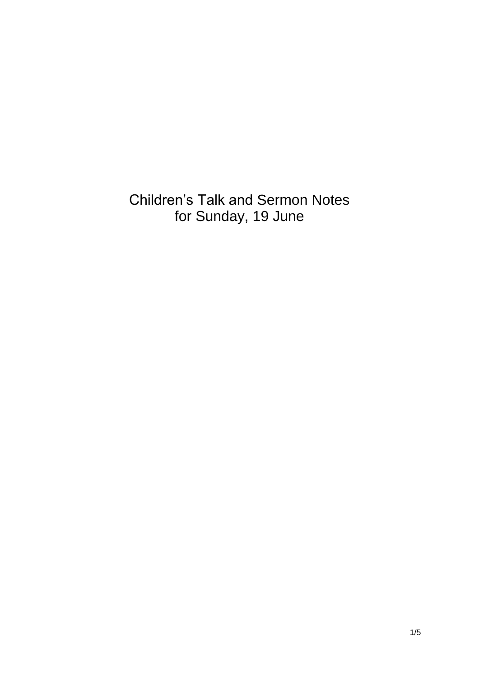Children's Talk and Sermon Notes for Sunday, 19 June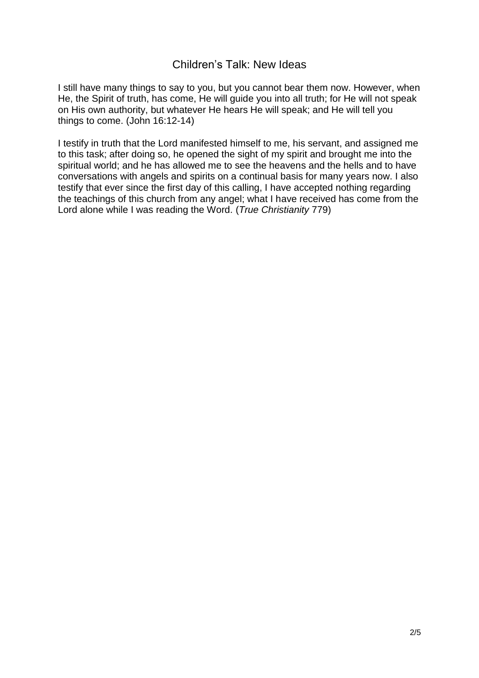## Children's Talk: New Ideas

I still have many things to say to you, but you cannot bear them now. However, when He, the Spirit of truth, has come, He will guide you into all truth; for He will not speak on His own authority, but whatever He hears He will speak; and He will tell you things to come. (John 16:12-14)

I testify in truth that the Lord manifested himself to me, his servant, and assigned me to this task; after doing so, he opened the sight of my spirit and brought me into the spiritual world; and he has allowed me to see the heavens and the hells and to have conversations with angels and spirits on a continual basis for many years now. I also testify that ever since the first day of this calling, I have accepted nothing regarding the teachings of this church from any angel; what I have received has come from the Lord alone while I was reading the Word. (*True Christianity* 779)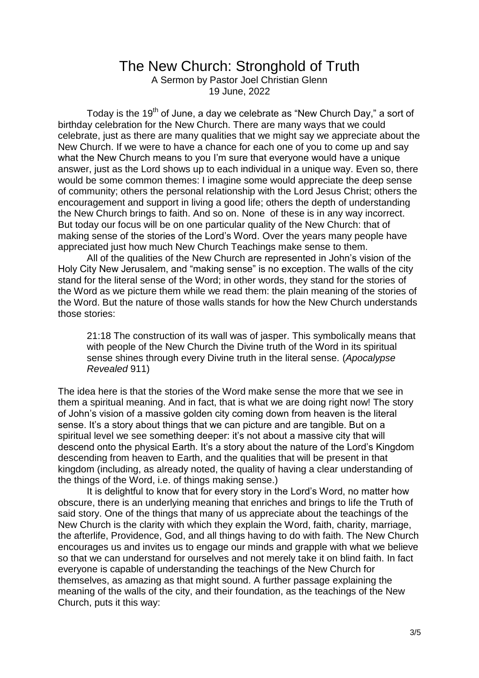## The New Church: Stronghold of Truth

A Sermon by Pastor Joel Christian Glenn 19 June, 2022

Today is the 19<sup>th</sup> of June, a day we celebrate as "New Church Day," a sort of birthday celebration for the New Church. There are many ways that we could celebrate, just as there are many qualities that we might say we appreciate about the New Church. If we were to have a chance for each one of you to come up and say what the New Church means to you I'm sure that everyone would have a unique answer, just as the Lord shows up to each individual in a unique way. Even so, there would be some common themes: I imagine some would appreciate the deep sense of community; others the personal relationship with the Lord Jesus Christ; others the encouragement and support in living a good life; others the depth of understanding the New Church brings to faith. And so on. None of these is in any way incorrect. But today our focus will be on one particular quality of the New Church: that of making sense of the stories of the Lord's Word. Over the years many people have appreciated just how much New Church Teachings make sense to them.

All of the qualities of the New Church are represented in John's vision of the Holy City New Jerusalem, and "making sense" is no exception. The walls of the city stand for the literal sense of the Word; in other words, they stand for the stories of the Word as we picture them while we read them: the plain meaning of the stories of the Word. But the nature of those walls stands for how the New Church understands those stories:

21:18 The construction of its wall was of jasper. This symbolically means that with people of the New Church the Divine truth of the Word in its spiritual sense shines through every Divine truth in the literal sense. (*Apocalypse Revealed* 911)

The idea here is that the stories of the Word make sense the more that we see in them a spiritual meaning. And in fact, that is what we are doing right now! The story of John's vision of a massive golden city coming down from heaven is the literal sense. It's a story about things that we can picture and are tangible. But on a spiritual level we see something deeper: it's not about a massive city that will descend onto the physical Earth. It's a story about the nature of the Lord's Kingdom descending from heaven to Earth, and the qualities that will be present in that kingdom (including, as already noted, the quality of having a clear understanding of the things of the Word, i.e. of things making sense.)

It is delightful to know that for every story in the Lord's Word, no matter how obscure, there is an underlying meaning that enriches and brings to life the Truth of said story. One of the things that many of us appreciate about the teachings of the New Church is the clarity with which they explain the Word, faith, charity, marriage, the afterlife, Providence, God, and all things having to do with faith. The New Church encourages us and invites us to engage our minds and grapple with what we believe so that we can understand for ourselves and not merely take it on blind faith. In fact everyone is capable of understanding the teachings of the New Church for themselves, as amazing as that might sound. A further passage explaining the meaning of the walls of the city, and their foundation, as the teachings of the New Church, puts it this way: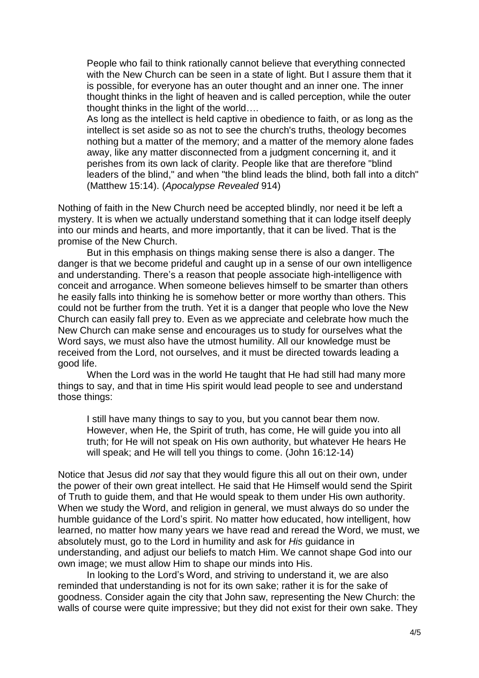People who fail to think rationally cannot believe that everything connected with the New Church can be seen in a state of light. But I assure them that it is possible, for everyone has an outer thought and an inner one. The inner thought thinks in the light of heaven and is called perception, while the outer thought thinks in the light of the world….

As long as the intellect is held captive in obedience to faith, or as long as the intellect is set aside so as not to see the church's truths, theology becomes nothing but a matter of the memory; and a matter of the memory alone fades away, like any matter disconnected from a judgment concerning it, and it perishes from its own lack of clarity. People like that are therefore "blind leaders of the blind," and when "the blind leads the blind, both fall into a ditch" (Matthew 15:14). (*Apocalypse Revealed* 914)

Nothing of faith in the New Church need be accepted blindly, nor need it be left a mystery. It is when we actually understand something that it can lodge itself deeply into our minds and hearts, and more importantly, that it can be lived. That is the promise of the New Church.

But in this emphasis on things making sense there is also a danger. The danger is that we become prideful and caught up in a sense of our own intelligence and understanding. There's a reason that people associate high-intelligence with conceit and arrogance. When someone believes himself to be smarter than others he easily falls into thinking he is somehow better or more worthy than others. This could not be further from the truth. Yet it is a danger that people who love the New Church can easily fall prey to. Even as we appreciate and celebrate how much the New Church can make sense and encourages us to study for ourselves what the Word says, we must also have the utmost humility. All our knowledge must be received from the Lord, not ourselves, and it must be directed towards leading a good life.

When the Lord was in the world He taught that He had still had many more things to say, and that in time His spirit would lead people to see and understand those things:

I still have many things to say to you, but you cannot bear them now. However, when He, the Spirit of truth, has come, He will guide you into all truth; for He will not speak on His own authority, but whatever He hears He will speak; and He will tell you things to come. (John 16:12-14)

Notice that Jesus did *not* say that they would figure this all out on their own, under the power of their own great intellect. He said that He Himself would send the Spirit of Truth to guide them, and that He would speak to them under His own authority. When we study the Word, and religion in general, we must always do so under the humble guidance of the Lord's spirit. No matter how educated, how intelligent, how learned, no matter how many years we have read and reread the Word, we must, we absolutely must, go to the Lord in humility and ask for *His* guidance in understanding, and adjust our beliefs to match Him. We cannot shape God into our own image; we must allow Him to shape our minds into His.

In looking to the Lord's Word, and striving to understand it, we are also reminded that understanding is not for its own sake; rather it is for the sake of goodness. Consider again the city that John saw, representing the New Church: the walls of course were quite impressive; but they did not exist for their own sake. They